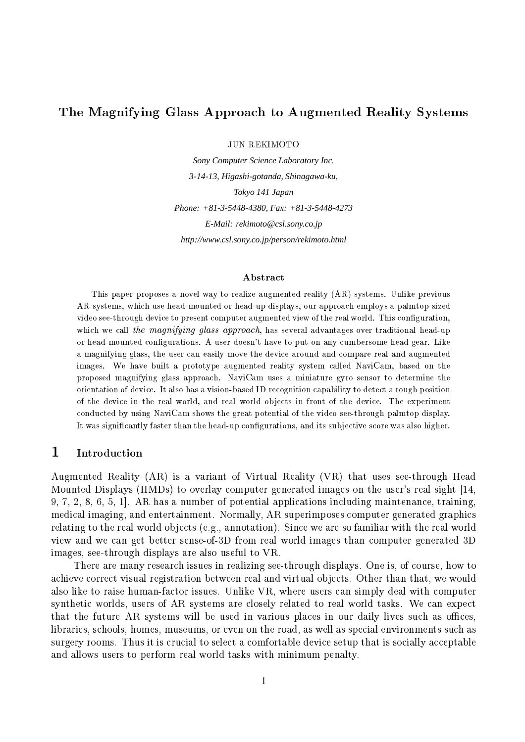### The Magnifying Glass Approach to Augmented Reality Systems

**JUN REKIMOTO** 

Sony Computer Science Laboratory Inc. 3-14-13, Higashi-gotanda, Shinagawa-ku, Tokyo 141 Japan Phone: +81-3-5448-4380, Fax: +81-3-5448-4273 E-Mail: rekimoto@csl.sony.co.jp http://www.csl.sony.co.jp/person/rekimoto.html

### Abstract

This paper proposes a novel way to realize augmented reality (AR) systems. Unlike previous AR systems, which use head-mounted or head-up displays, our approach employs a palmtop-sized video see-through device to present computer augmented view of the real world. This configuration, which we call the magnifying glass approach, has several advantages over traditional head-up or head-mounted configurations. A user doesn't have to put on any cumbersome head gear. Like a magnifying glass, the user can easily move the device around and compare real and augmented images. We have built a prototype augmented reality system called NaviCam, based on the proposed magnifying glass approach. NaviCam uses a miniature gyro sensor to determine the orientation of device. It also has a vision-based ID recognition capability to detect a rough position of the device in the real world, and real world objects in front of the device. The experiment conducted by using NaviCam shows the great potential of the video see-through palmtop display. It was significantly faster than the head-up configurations, and its subjective score was also higher.

#### $\mathbf 1$ Introduction

Augmented Reality (AR) is a variant of Virtual Reality (VR) that uses see-through Head Mounted Displays (HMDs) to overlay computer generated images on the user's real sight [14, 9, 7, 2, 8, 6, 5, 1. AR has a number of potential applications including maintenance, training, medical imaging, and entertainment. Normally, AR superimposes computer generated graphics relating to the real world objects (e.g., annotation). Since we are so familiar with the real world view and we can get better sense-of-3D from real world images than computer generated 3D images, see-through displays are also useful to VR.

There are many research issues in realizing see-through displays. One is, of course, how to achieve correct visual registration between real and virtual objects. Other than that, we would also like to raise human-factor issues. Unlike VR, where users can simply deal with computer synthetic worlds, users of AR systems are closely related to real world tasks. We can expect that the future AR systems will be used in various places in our daily lives such as offices, libraries, schools, homes, museums, or even on the road, as well as special environments such as surgery rooms. Thus it is crucial to select a comfortable device setup that is socially acceptable and allows users to perform real world tasks with minimum penalty.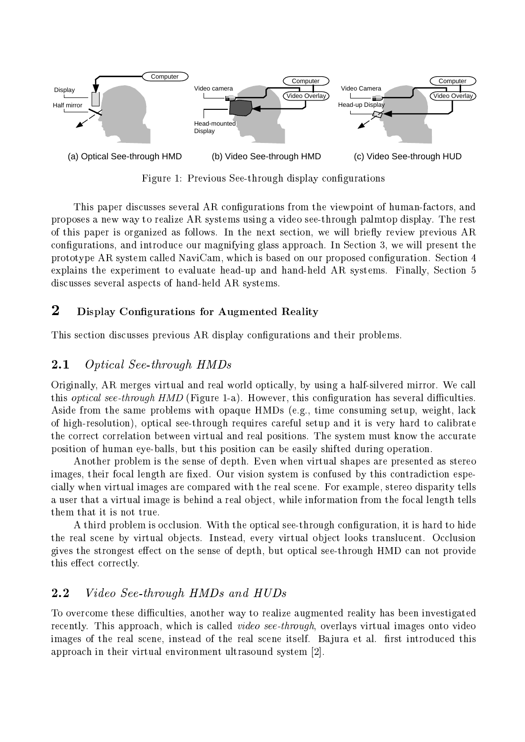

8- 9 :- .-  ;- 

0 - ;-  , - ! , , 1 
 -  -  ) 0   1 ,) < 6 ! , , \*=
 , -  $\mathbf{A}$  , and  $\mathbf{A}$  , and  $\mathbf{A}$  , and  $\mathbf{B}$  , and  $\mathbf{B}$  , and  $\mathbf{B}$  , and  $\mathbf{B}$  
 + > ! ,  \* - ;- ) . explains the experiment to evaluate head-up and hand-held AR systems. Finally, Section 5 - 
)

### - - -

0  - -  ;-   \*)

#### 2.1 -

 $\mathbb{R}^2 \times \mathbb{R}^2 \times \mathbb{R}^2 \times \mathbb{R}^2 \times \mathbb{R}^2 \times \mathbb{R}^2 \times \mathbb{R}^2 \times \mathbb{R}^2 \times \mathbb{R}^2 \times \mathbb{R}^2 \times \mathbb{R}^2 \times \mathbb{R}^2 \times \mathbb{R}^2 \times \mathbb{R}^2 \times \mathbb{R}^2 \times \mathbb{R}^2 \times \mathbb{R}^2 \times \mathbb{R}^2 \times \mathbb{R}^2 \times \mathbb{R}^2 \times \mathbb{R}^2 \times \mathbb{R}^2 \times$  $\alpha$  , and  $\alpha$  and  $\alpha$  and  $\alpha$  is a summer  $\alpha$  into the set of  $\alpha$  in  $\alpha$  is the set of  $\alpha$  intervalses the set of  $\alpha$  intervalses that  $\alpha$  $\blacksquare$  . The set of the set of the set of the set of the set of the set of the set of the set of the set of the set of the set of the set of the set of the set of the set of the set of the set of the set of the set of the  $\blacksquare$  . The state of the state of the state of the state of the state of the state of the state of the state of the state of the state of the state of the state of the state of the state of the state of the state of the  $\mathbb{P}$  -states the state of the state of the state of the state of the state of the state of the state of the state of the state of the state of the state of the state of the state of the state of the state of the state  - 
\* ! \*-   \* 
  - )

 $\mathbb{R}$  . The set of  $\mathbb{R}$  is the set of  $\mathbb{R}$  , we have the set of  $\mathbb{R}$  , we have the set of  $\mathbb{R}$  !  ;6) 2-  
  - \*
   , and a set of the set of the set of the set of the set of the set of the set of the set of the set of the set of the set of the set of the set of the set of the set of the set of the set of the set of the set of the set - -   \* \* -! ,  

  \*  -) 5  - ;- !    \*
 - \* -) < ! 
 - \* - 3 -) 2-  $\mathbb{R}$  . The set of  $\mathbb{R}$  is the set of  $\mathbb{R}$  is the set of  $\mathbb{R}$  is the set of  $\mathbb{R}$ this effect correctly.

### 

 $\mathbf{A}$  $\mathcal{L}_{\mathcal{A}}$  . The approach winter is cancel that the control of the additional measurement in  $\mathcal{A}$  !  ) B -- ) ; -    -  - - 
 \$()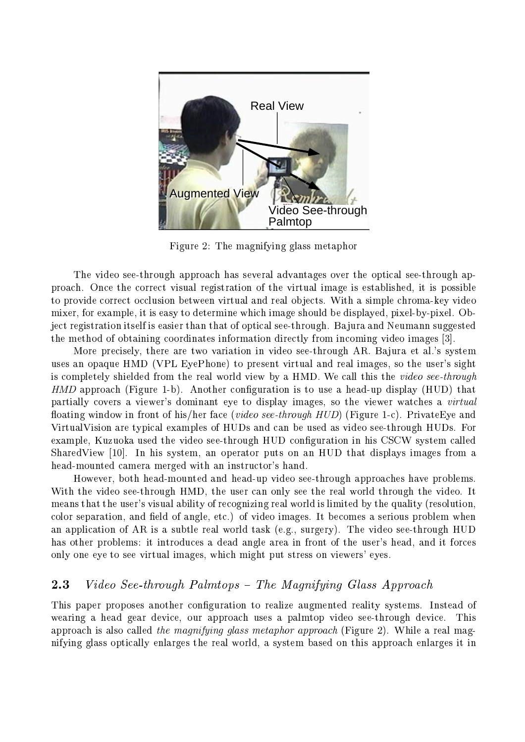

Figure 2: The magnifying glass metaphor

The video see-through approach has several advantages over the optical see-through approach. Once the correct visual registration of the virtual image is established, it is possible to provide correct occlusion between virtual and real objects. With a simple chroma-key video mixer, for example, it is easy to determine which image should be displayed, pixel-by-pixel. Object registration itself is easier than that of optical see-through. Bajura and Neumann suggested the method of obtaining coordinates information directly from incoming video images [3].

More precisely, there are two variation in video see-through AR. Bajura et al.'s system uses an opaque HMD (VPL EyePhone) to present virtual and real images, so the user's sight is completely shielded from the real world view by a HMD. We call this the video see-through HMD approach (Figure 1-b). Another configuration is to use a head-up display (HUD) that partially covers a viewer's dominant eye to display images, so the viewer watches a *virtual* floating window in front of his/her face (*video see-through HUD*) (Figure 1-c). PrivateEye and VirtualVision are typical examples of HUDs and can be used as video see-through HUDs. For example, Kuzuoka used the video see-through HUD configuration in his CSCW system called SharedView [10]. In his system, an operator puts on an HUD that displays images from a head-mounted camera merged with an instructor's hand.

However, both head-mounted and head-up video see-through approaches have problems. With the video see-through HMD, the user can only see the real world through the video. It means that the user's visual ability of recognizing real world is limited by the quality (resolution, color separation, and field of angle, etc.) of video images. It becomes a serious problem when an application of AR is a subtle real world task (e.g., surgery). The video see-through HUD has other problems: it introduces a dead angle area in front of the user's head, and it forces only one eye to see virtual images, which might put stress on viewers' eyes.

#### 2.3 Video See-through Palmtops - The Magnifying Glass Approach

This paper proposes another configuration to realize augmented reality systems. Instead of wearing a head gear device, our approach uses a palmtop video see-through device. This approach is also called the magnifying glass metaphor approach (Figure 2). While a real magnifying glass optically enlarges the real world, a system based on this approach enlarges it in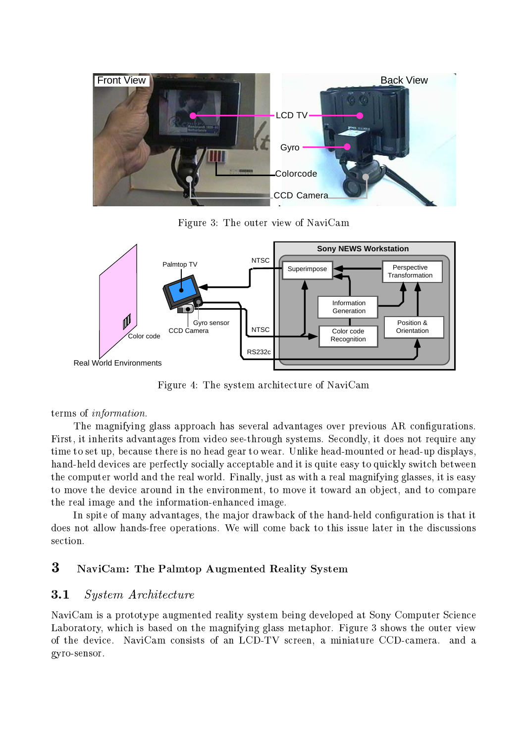

8- /9 0 - , + >



8- 9 0 
 - + >

### terms of *information*.

 $\mathbf{D} = \mathbf{D} \mathbf{D} \mathbf{D} \mathbf{D} \mathbf{D} \mathbf{D} \mathbf{D} \mathbf{D} \mathbf{D} \mathbf{D} \mathbf{D} \mathbf{D} \mathbf{D} \mathbf{D} \mathbf{D} \mathbf{D} \mathbf{D} \mathbf{D} \mathbf{D} \mathbf{D} \mathbf{D} \mathbf{D} \mathbf{D} \mathbf{D} \mathbf{D} \mathbf{D} \mathbf{D} \mathbf{D} \mathbf{D} \mathbf{D} \mathbf{D} \mathbf{D} \mathbf{D} \mathbf{D} \mathbf{D} \mathbf$  $\mathbf{A}$  $\blacksquare$  : the state of the state of the state of the state of the state of the state of the state of the state of the state of the state of the state of the state of the state of the state of the state of the state of the  
  \*   ?- ?-3
 , \*,  $\mathbf{A}$  , and  $\mathbf{A}$  , and  $\mathbf{A}$  , and  $\mathbf{A}$  , and  $\mathbf{A}$  , and  $\mathbf{A}$  $\blacksquare$  . The contract of the contract of the contract of the contract of the contract of the contract of the contract of the contract of the contract of the contract of the contract of the contract of the contract of the     )

<  ! - ,\* 3 ;-    , ) 5 , \* 3  -   section.

## -

### **3.1** System Architecture

 $\mathbf{A} = \mathbf{A} \mathbf{A} + \mathbf{A} \mathbf{A} + \mathbf{A} \mathbf{A} + \mathbf{A} \mathbf{A} + \mathbf{A} \mathbf{A} + \mathbf{A} \mathbf{A} + \mathbf{A} \mathbf{A} + \mathbf{A} \mathbf{A} + \mathbf{A} \mathbf{A} + \mathbf{A} \mathbf{A} + \mathbf{A} \mathbf{A} + \mathbf{A} \mathbf{A} + \mathbf{A} \mathbf{A} + \mathbf{A} \mathbf{A} + \mathbf{A} \mathbf{A} + \mathbf{A} \mathbf{A} + \mathbf{A$ C \* ! ,  \* 
 ) 8- / , - ,  $\mathcal{L}=\{\mathcal{L}^{\text{max}}_{\mathcal{L}^{\text{max}}_{\mathcal{L}^{\text{max}}_{\mathcal{L}^{\text{max}}_{\mathcal{L}^{\text{max}}_{\mathcal{L}^{\text{max}}_{\mathcal{L}^{\text{max}}_{\mathcal{L}^{\text{max}}_{\mathcal{L}^{\text{max}}_{\mathcal{L}^{\text{max}}_{\mathcal{L}^{\text{max}}_{\mathcal{L}^{\text{max}}_{\mathcal{L}^{\text{max}}_{\mathcal{L}^{\text{max}}_{\mathcal{L}^{\text{max}}_{\mathcal{L}^{\text{max}}_{\mathcal{L$ gyro-sensor.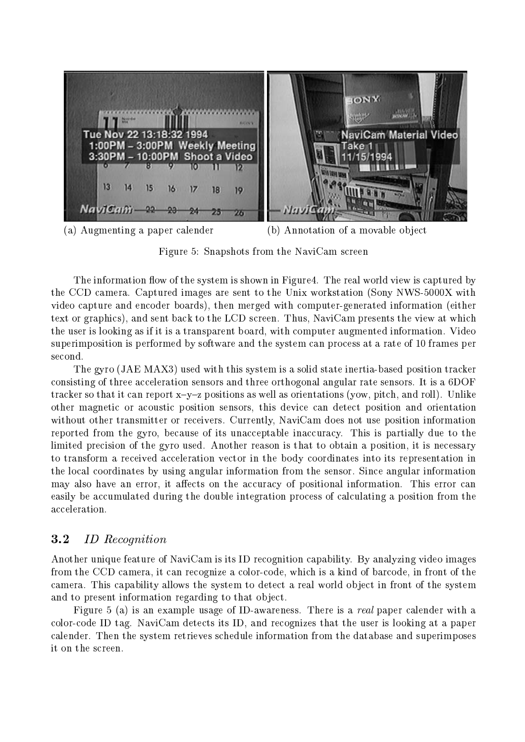**TONY ANGEL** mmm Tue Nov 22 13:18:32 1994 **NaviCam Material Video** 1:00PM - 3:00PM Weekly Meeting Take 1 3:30PM - 10:00PM Shoot a Video 994 15 13 14  $15$  $16$  $17$ 18 19 NaviCam-うえ 26

(b) Annotation of a movable object (a) Augmenting a paper calender

Figure 5: Snapshots from the NaviCam screen

The information flow of the system is shown in Figure 4. The real world view is captured by the CCD camera. Captured images are sent to the Unix workstation (Sony NWS-5000X with video capture and encoder boards), then merged with computer-generated information (either text or graphics), and sent back to the LCD screen. Thus, NaviCam presents the view at which the user is looking as if it is a transparent board, with computer augmented information. Video superimposition is performed by software and the system can process at a rate of 10 frames per second.

The gyro (JAE MAX3) used with this system is a solid state inertia-based position tracker consisting of three acceleration sensors and three orthogonal angular rate sensors. It is a 6DOF tracker so that it can report  $x-y-z$  positions as well as orientations (yow, pitch, and roll). Unlike other magnetic or acoustic position sensors, this device can detect position and orientation without other transmitter or receivers. Currently, NaviCam does not use position information reported from the gyro, because of its unacceptable inaccuracy. This is partially due to the limited precision of the gyro used. Another reason is that to obtain a position, it is necessary to transform a received acceleration vector in the body coordinates into its representation in the local coordinates by using angular information from the sensor. Since angular information may also have an error, it affects on the accuracy of positional information. This error can easily be accumulated during the double integration process of calculating a position from the acceleration.

#### $3.2$ **ID** Recognition

Another unique feature of NaviCam is its ID recognition capability. By analyzing video images from the CCD camera, it can recognize a color-code, which is a kind of barcode, in front of the camera. This capability allows the system to detect a real world object in front of the system and to present information regarding to that object.

Figure 5 (a) is an example usage of ID-awareness. There is a real paper calender with a color-code ID tag. NaviCam detects its ID, and recognizes that the user is looking at a paper calender. Then the system retrieves schedule information from the database and superimposes it on the screen.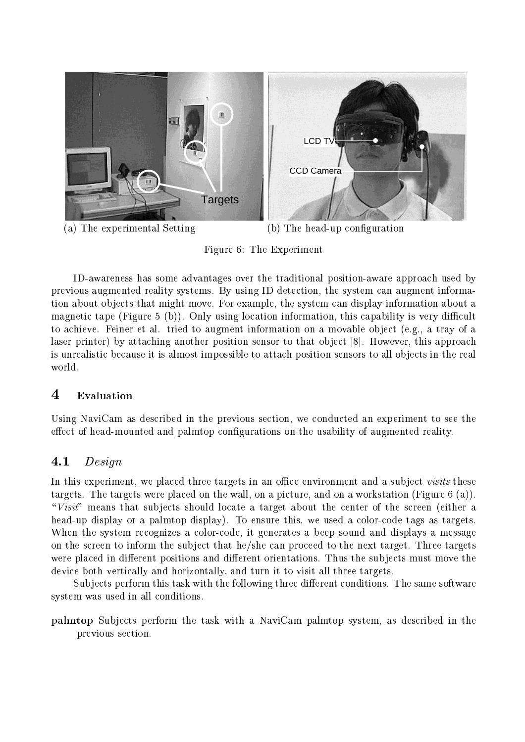

Figure 6: The Experiment

ID-awareness has some advantages over the traditional position-aware approach used by previous augmented reality systems. By using ID detection, the system can augment information about objects that might move. For example, the system can display information about a magnetic tape (Figure 5 (b)). Only using location information, this capability is very difficult to achieve. Feiner et al. tried to augment information on a movable object (e.g., a tray of a laser printer) by attaching another position sensor to that object [8]. However, this approach is unrealistic because it is almost impossible to attach position sensors to all objects in the real world.

### $\overline{4}$ Evaluation

Using NaviCam as described in the previous section, we conducted an experiment to see the effect of head-mounted and palmtop configurations on the usability of augmented reality.

#### $4.1$  $Design$

In this experiment, we placed three targets in an office environment and a subject *visits* these targets. The targets were placed on the wall, on a picture, and on a workstation (Figure  $6$  (a)). "Visit" means that subjects should locate a target about the center of the screen (either a head-up display or a palmtop display). To ensure this, we used a color-code tags as targets. When the system recognizes a color-code, it generates a beep sound and displays a message on the screen to inform the subject that he/she can proceed to the next target. Three targets were placed in different positions and different orientations. Thus the subjects must move the device both vertically and horizontally, and turn it to visit all three targets.

Subjects perform this task with the following three different conditions. The same software system was used in all conditions.

palmtop Subjects perform the task with a NaviCam palmtop system, as described in the previous section.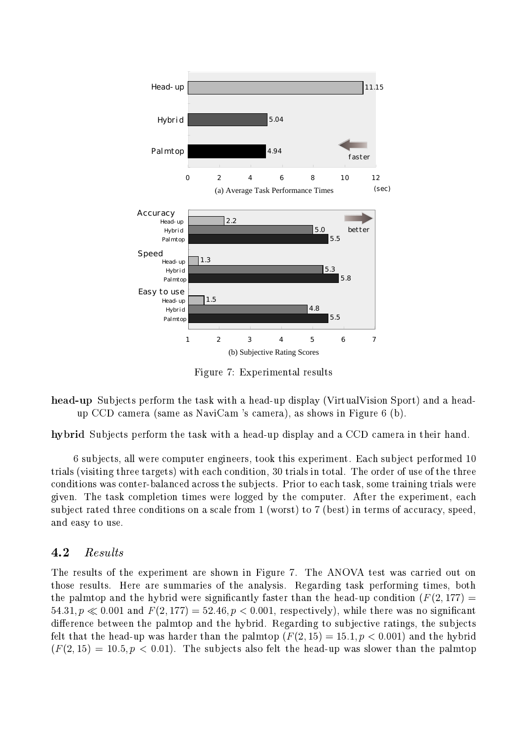

Figure 7: Experimental results

head-up Subjects perform the task with a head-up display (VirtualVision Sport) and a headup CCD camera (same as NaviCam 's camera), as shows in Figure 6 (b).

hybrid Subjects perform the task with a head-up display and a CCD camera in their hand.

6 subjects, all were computer engineers, took this experiment. Each subject performed 10 trials (visiting three targets) with each condition, 30 trials in total. The order of use of the three conditions was conter-balanced across the subjects. Prior to each task, some training trials were given. The task completion times were logged by the computer. After the experiment, each subject rated three conditions on a scale from 1 (worst) to 7 (best) in terms of accuracy, speed, and easy to use.

#### 4.2 Results

The results of the experiment are shown in Figure 7. The ANOVA test was carried out on those results. Here are summaries of the analysis. Regarding task performing times, both the palmtop and the hybrid were significantly faster than the head-up condition  $(F(2, 177) =$ 54.31,  $p \ll 0.001$  and  $F(2, 177) = 52.46$ ,  $p < 0.001$ , respectively), while there was no significant difference between the palmtop and the hybrid. Regarding to subjective ratings, the subjects felt that the head-up was harder than the palmtop  $(F(2, 15) = 15.1, p < 0.001)$  and the hybrid  $(F(2, 15) = 10.5, p < 0.01)$ . The subjects also felt the head-up was slower than the palmtop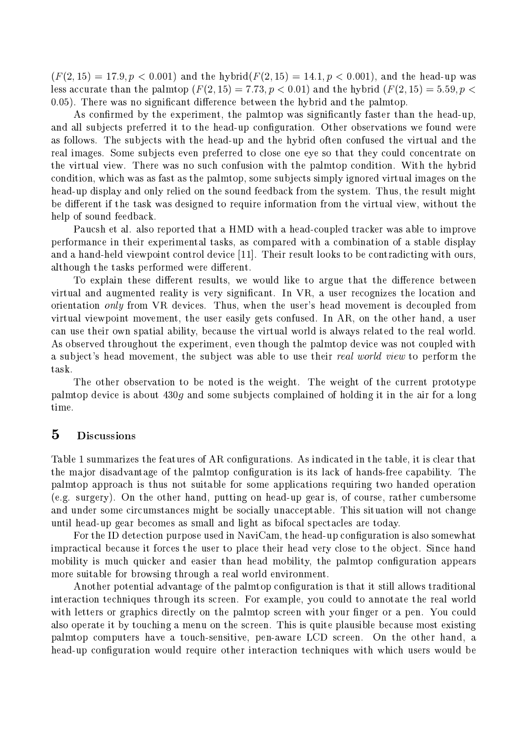$(F(2, 15) = 17.9, p < 0.001)$  and the hybrid $(F(2, 15) = 14.1, p < 0.001)$ , and the head-up was less accurate than the palmtop  $(F(2, 15) = 7.73, p < 0.01)$  and the hybrid  $(F(2, 15) = 5.59, p <$ 0.05). There was no significant difference between the hybrid and the palmtop.

As confirmed by the experiment, the palmtop was significantly faster than the head-up, and all subjects preferred it to the head-up configuration. Other observations we found were as follows. The subjects with the head-up and the hybrid often confused the virtual and the real images. Some subjects even preferred to close one eye so that they could concentrate on the virtual view. There was no such confusion with the palmtop condition. With the hybrid condition, which was as fast as the palmtop, some subjects simply ignored virtual images on the head-up display and only relied on the sound feedback from the system. Thus, the result might be different if the task was designed to require information from the virtual view, without the help of sound feedback.

Paucsh et al. also reported that a HMD with a head-coupled tracker was able to improve performance in their experimental tasks, as compared with a combination of a stable display and a hand-held viewpoint control device [11]. Their result looks to be contradicting with ours, although the tasks performed were different.

To explain these different results, we would like to argue that the difference between virtual and augmented reality is very significant. In VR, a user recognizes the location and orientation only from VR devices. Thus, when the user's head movement is decoupled from virtual viewpoint movement, the user easily gets confused. In AR, on the other hand, a user can use their own spatial ability, because the virtual world is always related to the real world. As observed throughout the experiment, even though the palmtop device was not coupled with a subject's head movement, the subject was able to use their real world view to perform the task.

The other observation to be noted is the weight. The weight of the current prototype palmtop device is about  $430g$  and some subjects complained of holding it in the air for a long time.

#### $\overline{5}$ **Discussions**

Table 1 summarizes the features of AR configurations. As indicated in the table, it is clear that the major disadvantage of the palmtop configuration is its lack of hands-free capability. The palmtop approach is thus not suitable for some applications requiring two handed operation (e.g. surgery). On the other hand, putting on head-up gear is, of course, rather cumbersome and under some circumstances might be socially unacceptable. This situation will not change until head-up gear becomes as small and light as bifocal spectacles are today.

For the ID detection purpose used in NaviCam, the head-up configuration is also somewhat impractical because it forces the user to place their head very close to the object. Since hand mobility is much quicker and easier than head mobility, the palmtop configuration appears more suitable for browsing through a real world environment.

Another potential advantage of the palmtop configuration is that it still allows traditional interaction techniques through its screen. For example, you could to annotate the real world with letters or graphics directly on the palmtop screen with your finger or a pen. You could also operate it by touching a menu on the screen. This is quite plausible because most existing palmtop computers have a touch-sensitive, pen-aware LCD screen. On the other hand, a head-up configuration would require other interaction techniques with which users would be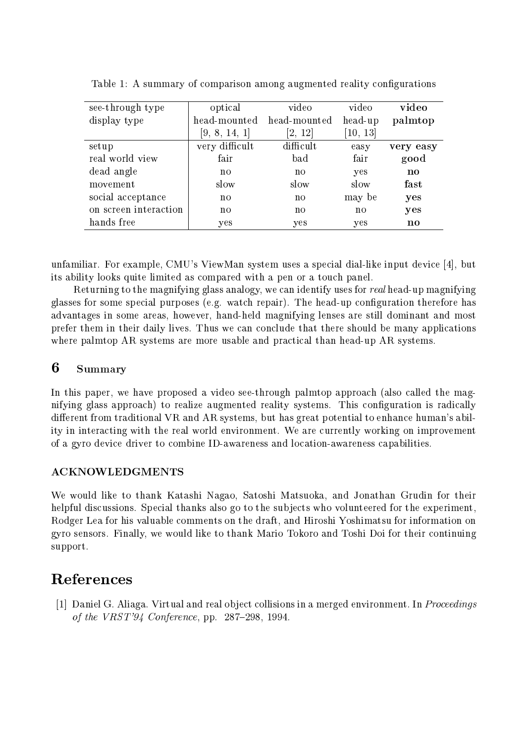| see-through type      | optical        | video                  | video        | video     |
|-----------------------|----------------|------------------------|--------------|-----------|
| display type          | head-mounted   | head-mounted           | head-up      | palmtop   |
|                       | [9, 8, 14, 1]  | $\left[2,\; 12\right]$ | [10, 13]     |           |
| setup                 | very difficult | difficult              | easy         | very easy |
| real world view       | fair           | bad                    | fair         | good      |
| dead angle            | n <sub>0</sub> | no                     | yes          | no        |
| movement              | slow           | slow                   | slow         | fast      |
| social acceptance     | n <sub>0</sub> | n <sub>O</sub>         | may be       | yes       |
| on screen interaction | n <sub>0</sub> | n <sub>0</sub>         | $\mathbf{n}$ | yes       |
| hands free            | yes            | yes                    | yes          | no        |

Table 1: A summary of comparison among augmented reality configurations

unfamiliar. For example, CMU's ViewMan system uses a special dial-like input device [4], but its ability looks quite limited as compared with a pen or a touch panel.

Returning to the magnifying glass analogy, we can identify uses for real head-up magnifying glasses for some special purposes (e.g. watch repair). The head-up configuration therefore has advantages in some areas, however, hand-held magnifying lenses are still dominant and most prefer them in their daily lives. Thus we can conclude that there should be many applications where palmtop AR systems are more usable and practical than head-up AR systems.

### 6 Summary

In this paper, we have proposed a video see-through palmtop approach (also called the magnifying glass approach) to realize augmented reality systems. This configuration is radically different from traditional VR and AR systems, but has great potential to enhance human's ability in interacting with the real world environment. We are currently working on improvement of a gyro device driver to combine ID-awareness and location-awareness capabilities.

### **ACKNOWLEDGMENTS**

We would like to thank Katashi Nagao, Satoshi Matsuoka, and Jonathan Grudin for their helpful discussions. Special thanks also go to the subjects who volunteered for the experiment, Rodger Lea for his valuable comments on the draft, and Hiroshi Yoshimatsu for information on gyro sensors. Finally, we would like to thank Mario Tokoro and Toshi Doi for their continuing support.

# References

[1] Daniel G. Aliaga. Virtual and real object collisions in a merged environment. In Proceedings of the  $VRST'94$  Conference, pp. 287-298, 1994.